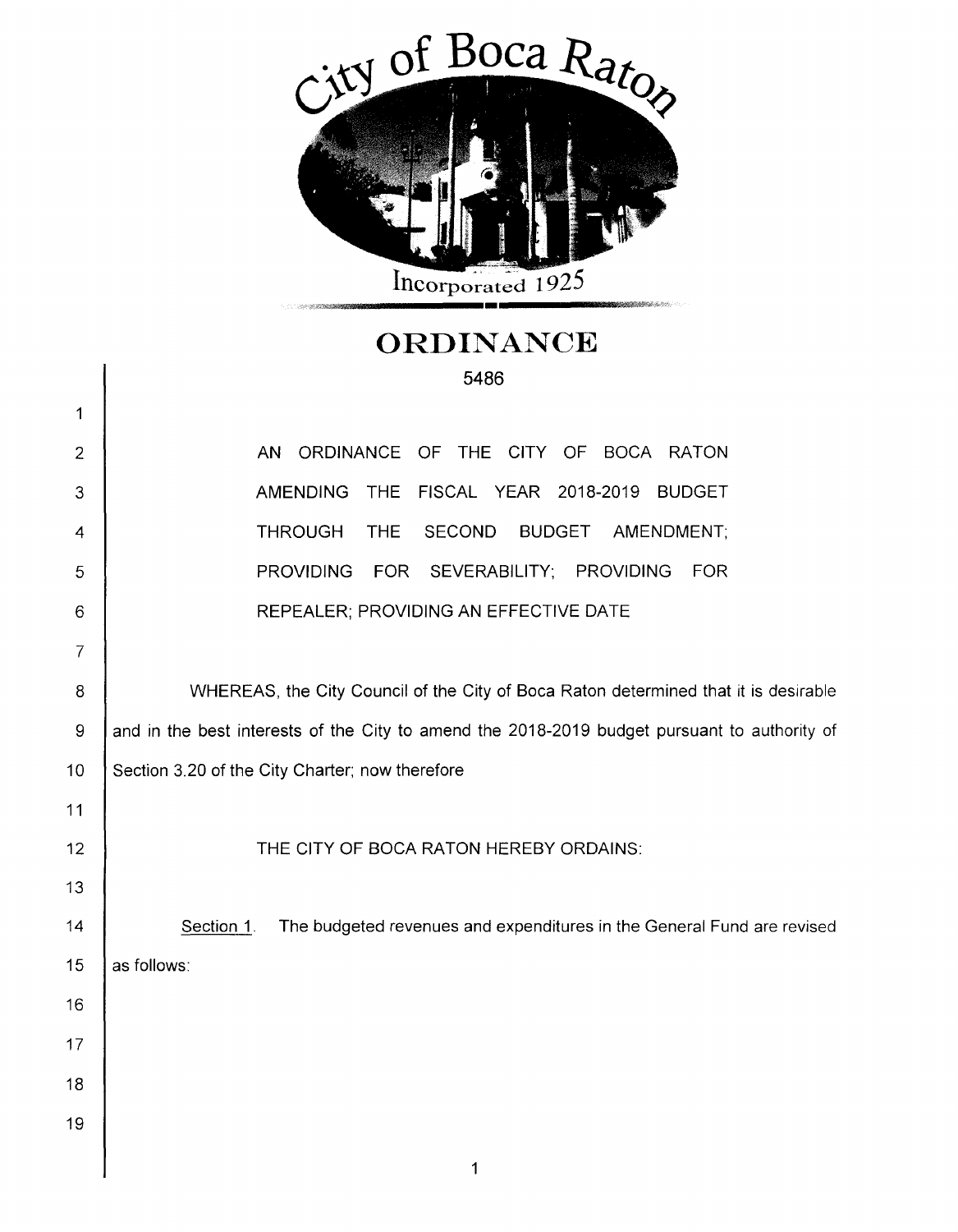

## **ORDINANCE**  5486

 $\mathbf{I}$ 

| 1              |                                                                                              |  |  |  |  |
|----------------|----------------------------------------------------------------------------------------------|--|--|--|--|
| $\overline{2}$ | OF THE CITY OF BOCA RATON<br>AN ORDINANCE                                                    |  |  |  |  |
| 3              | <b>AMENDING</b><br><b>THE</b><br>FISCAL YEAR 2018-2019<br><b>BUDGET</b>                      |  |  |  |  |
| 4              | <b>THROUGH</b><br><b>THE</b><br><b>BUDGET</b><br><b>SECOND</b><br>AMENDMENT;                 |  |  |  |  |
| 5              | SEVERABILITY; PROVIDING<br><b>FOR</b><br><b>PROVIDING</b><br><b>FOR</b>                      |  |  |  |  |
| 6              | REPEALER; PROVIDING AN EFFECTIVE DATE                                                        |  |  |  |  |
| $\overline{7}$ |                                                                                              |  |  |  |  |
| 8              | WHEREAS, the City Council of the City of Boca Raton determined that it is desirable          |  |  |  |  |
| 9              | and in the best interests of the City to amend the 2018-2019 budget pursuant to authority of |  |  |  |  |
| 10             | Section 3.20 of the City Charter; now therefore                                              |  |  |  |  |
| 11             |                                                                                              |  |  |  |  |
| 12             | THE CITY OF BOCA RATON HEREBY ORDAINS:                                                       |  |  |  |  |
| 13             |                                                                                              |  |  |  |  |
| 14             | Section 1.<br>The budgeted revenues and expenditures in the General Fund are revised         |  |  |  |  |
| 15             | as follows:                                                                                  |  |  |  |  |
| 16             |                                                                                              |  |  |  |  |
| 17             |                                                                                              |  |  |  |  |
| 18             |                                                                                              |  |  |  |  |
| 19             |                                                                                              |  |  |  |  |
|                |                                                                                              |  |  |  |  |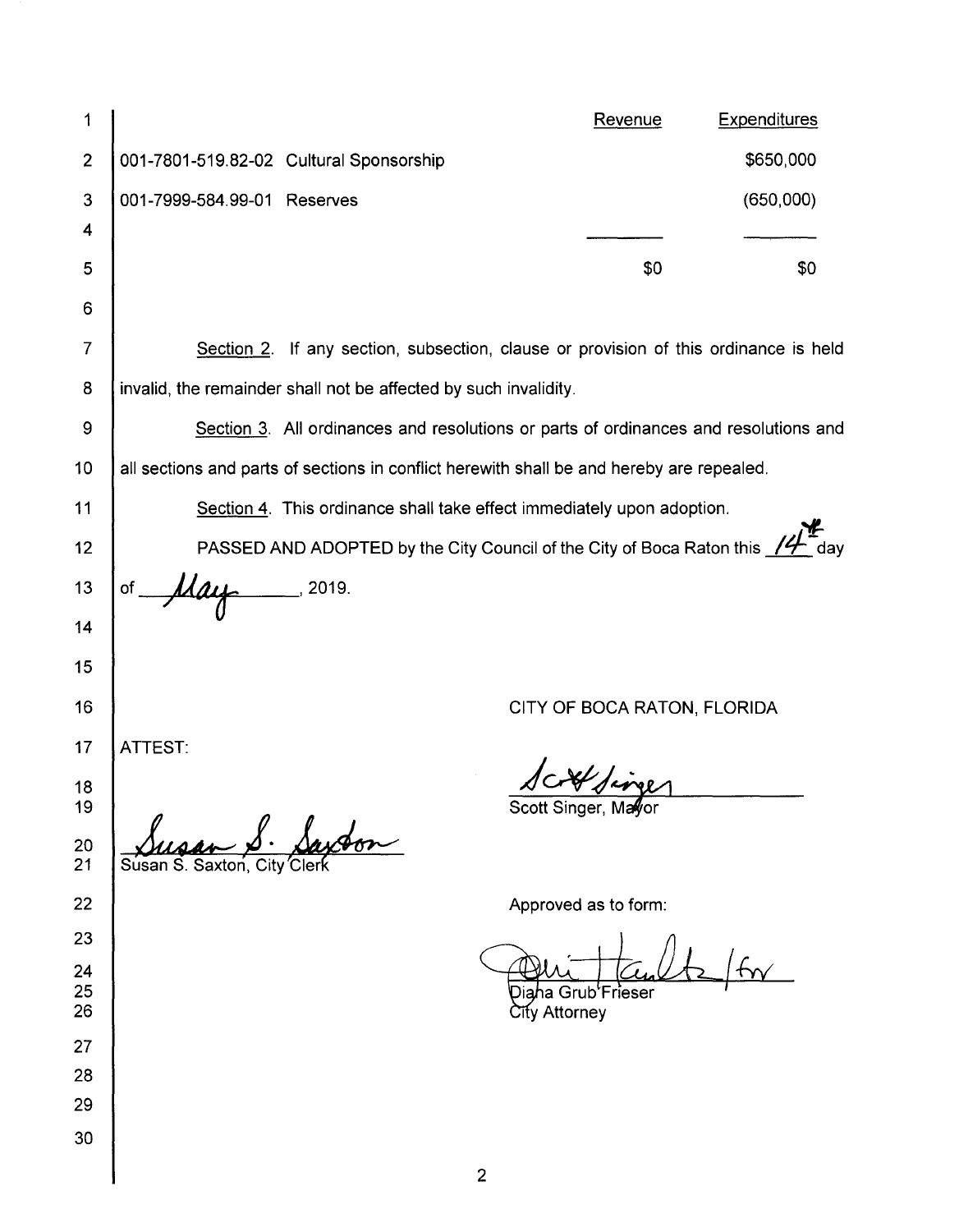| 1              |                                                                                           | Revenue | <b>Expenditures</b> |  |  |
|----------------|-------------------------------------------------------------------------------------------|---------|---------------------|--|--|
| $\overline{2}$ | 001-7801-519.82-02 Cultural Sponsorship                                                   |         | \$650,000           |  |  |
| 3              | 001-7999-584.99-01 Reserves                                                               |         | (650,000)           |  |  |
| 4              |                                                                                           |         |                     |  |  |
| 5<br>6         |                                                                                           | \$0     | \$0                 |  |  |
| 7              |                                                                                           |         |                     |  |  |
|                | Section 2. If any section, subsection, clause or provision of this ordinance is held      |         |                     |  |  |
| 8              | invalid, the remainder shall not be affected by such invalidity.                          |         |                     |  |  |
| 9              | Section 3. All ordinances and resolutions or parts of ordinances and resolutions and      |         |                     |  |  |
| 10             | all sections and parts of sections in conflict herewith shall be and hereby are repealed. |         |                     |  |  |
| 11             | Section 4. This ordinance shall take effect immediately upon adoption.                    |         |                     |  |  |
| 12             | PASSED AND ADOPTED by the City Council of the City of Boca Raton this 14 day              |         |                     |  |  |
| 13             | $-$ , 2019.<br>May<br>of j                                                                |         |                     |  |  |
| 14             |                                                                                           |         |                     |  |  |
| 15             |                                                                                           |         |                     |  |  |
| 16             | CITY OF BOCA RATON, FLORIDA                                                               |         |                     |  |  |
| 17             | ATTEST:                                                                                   |         |                     |  |  |
| 18             | 1 ct sines                                                                                |         |                     |  |  |
| 19<br>20<br>21 | Scott Singer, Mayor<br>Susan S. Saxton,                                                   |         |                     |  |  |
| 22             | Approved as to form:                                                                      |         |                     |  |  |
| 23             |                                                                                           |         |                     |  |  |
| 24             |                                                                                           |         |                     |  |  |
| 25<br>26       | ha Grub'Frieser<br>ेॉty Attorney                                                          |         |                     |  |  |
| 27             |                                                                                           |         |                     |  |  |
| 28             |                                                                                           |         |                     |  |  |
| 29             |                                                                                           |         |                     |  |  |
| 30             |                                                                                           |         |                     |  |  |
|                | $\overline{2}$                                                                            |         |                     |  |  |